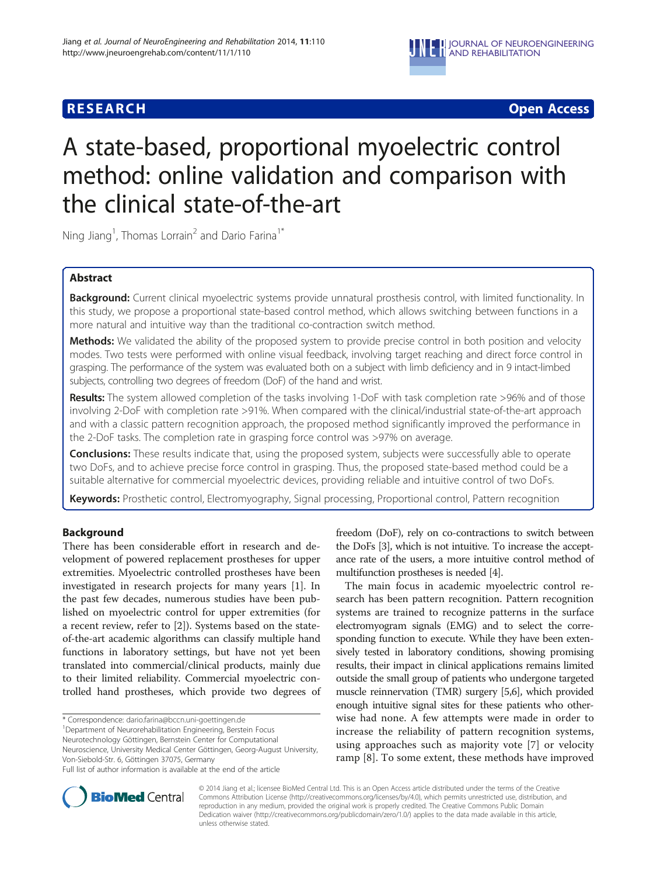# **JNERJ**JOURNAL OF NEUROENGINEERING<br>JNERJAND REHABILITATION

## **RESEARCH CHINESE ARCH CHINESE ARCH CHINESE ARCH <b>CHINESE ARCH**

## A state-based, proportional myoelectric control method: online validation and comparison with the clinical state-of-the-art

Ning Jiang<sup>1</sup>, Thomas Lorrain<sup>2</sup> and Dario Farina<sup>1\*</sup>

## Abstract

Background: Current clinical myoelectric systems provide unnatural prosthesis control, with limited functionality. In this study, we propose a proportional state-based control method, which allows switching between functions in a more natural and intuitive way than the traditional co-contraction switch method.

Methods: We validated the ability of the proposed system to provide precise control in both position and velocity modes. Two tests were performed with online visual feedback, involving target reaching and direct force control in grasping. The performance of the system was evaluated both on a subject with limb deficiency and in 9 intact-limbed subjects, controlling two degrees of freedom (DoF) of the hand and wrist.

Results: The system allowed completion of the tasks involving 1-DoF with task completion rate >96% and of those involving 2-DoF with completion rate >91%. When compared with the clinical/industrial state-of-the-art approach and with a classic pattern recognition approach, the proposed method significantly improved the performance in the 2-DoF tasks. The completion rate in grasping force control was >97% on average.

**Conclusions:** These results indicate that, using the proposed system, subjects were successfully able to operate two DoFs, and to achieve precise force control in grasping. Thus, the proposed state-based method could be a suitable alternative for commercial myoelectric devices, providing reliable and intuitive control of two DoFs.

Keywords: Prosthetic control, Electromyography, Signal processing, Proportional control, Pattern recognition

## Background

There has been considerable effort in research and development of powered replacement prostheses for upper extremities. Myoelectric controlled prostheses have been investigated in research projects for many years [\[1](#page-10-0)]. In the past few decades, numerous studies have been published on myoelectric control for upper extremities (for a recent review, refer to [[2\]](#page-10-0)). Systems based on the stateof-the-art academic algorithms can classify multiple hand functions in laboratory settings, but have not yet been translated into commercial/clinical products, mainly due to their limited reliability. Commercial myoelectric controlled hand prostheses, which provide two degrees of

<sup>1</sup>Department of Neurorehabilitation Engineering, Berstein Focus

Neurotechnology Göttingen, Bernstein Center for Computational

Neuroscience, University Medical Center Göttingen, Georg-August University, Von-Siebold-Str. 6, Göttingen 37075, Germany

freedom (DoF), rely on co-contractions to switch between the DoFs [\[3\]](#page-10-0), which is not intuitive. To increase the acceptance rate of the users, a more intuitive control method of multifunction prostheses is needed [\[4](#page-10-0)].

The main focus in academic myoelectric control research has been pattern recognition. Pattern recognition systems are trained to recognize patterns in the surface electromyogram signals (EMG) and to select the corresponding function to execute. While they have been extensively tested in laboratory conditions, showing promising results, their impact in clinical applications remains limited outside the small group of patients who undergone targeted muscle reinnervation (TMR) surgery [\[5,6\]](#page-10-0), which provided enough intuitive signal sites for these patients who otherwise had none. A few attempts were made in order to increase the reliability of pattern recognition systems, using approaches such as majority vote [\[7](#page-10-0)] or velocity ramp [\[8](#page-10-0)]. To some extent, these methods have improved



© 2014 Jiang et al.; licensee BioMed Central Ltd. This is an Open Access article distributed under the terms of the Creative Commons Attribution License [\(http://creativecommons.org/licenses/by/4.0\)](http://creativecommons.org/licenses/by/4.0), which permits unrestricted use, distribution, and reproduction in any medium, provided the original work is properly credited. The Creative Commons Public Domain Dedication waiver [\(http://creativecommons.org/publicdomain/zero/1.0/](http://creativecommons.org/publicdomain/zero/1.0/)) applies to the data made available in this article, unless otherwise stated.

<sup>\*</sup> Correspondence: [dario.farina@bccn.uni-goettingen.de](mailto:dario.farina@bccn.uni-goettingen.de) <sup>1</sup>

Full list of author information is available at the end of the article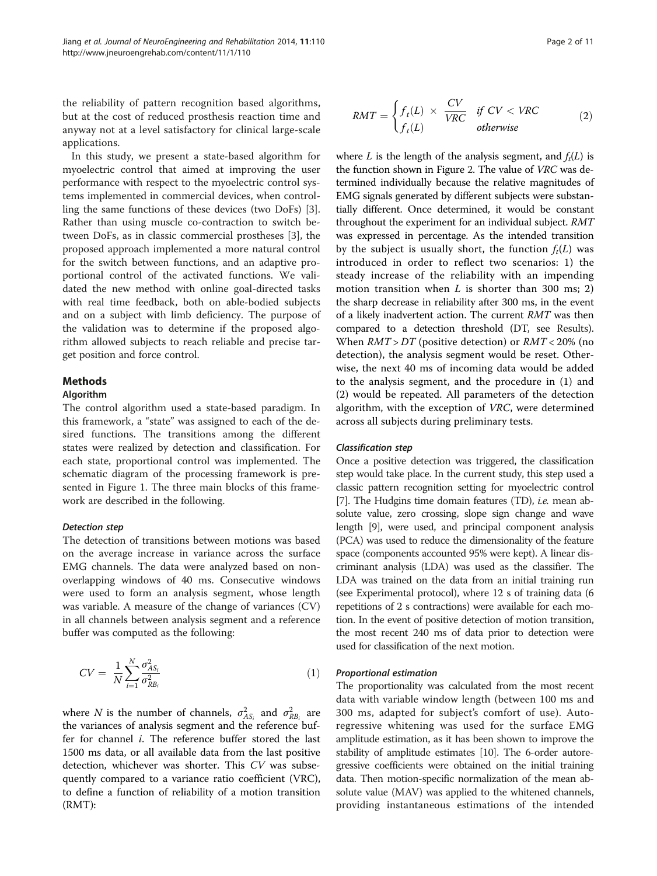<span id="page-1-0"></span>the reliability of pattern recognition based algorithms, but at the cost of reduced prosthesis reaction time and anyway not at a level satisfactory for clinical large-scale applications.

In this study, we present a state-based algorithm for myoelectric control that aimed at improving the user performance with respect to the myoelectric control systems implemented in commercial devices, when controlling the same functions of these devices (two DoFs) [\[3](#page-10-0)]. Rather than using muscle co-contraction to switch between DoFs, as in classic commercial prostheses [[3\]](#page-10-0), the proposed approach implemented a more natural control for the switch between functions, and an adaptive proportional control of the activated functions. We validated the new method with online goal-directed tasks with real time feedback, both on able-bodied subjects and on a subject with limb deficiency. The purpose of the validation was to determine if the proposed algorithm allowed subjects to reach reliable and precise target position and force control.

## Methods

### Algorithm

The control algorithm used a state-based paradigm. In this framework, a "state" was assigned to each of the desired functions. The transitions among the different states were realized by detection and classification. For each state, proportional control was implemented. The schematic diagram of the processing framework is presented in Figure [1.](#page-2-0) The three main blocks of this framework are described in the following.

The detection of transitions between motions was based on the average increase in variance across the surface EMG channels. The data were analyzed based on nonoverlapping windows of 40 ms. Consecutive windows were used to form an analysis segment, whose length was variable. A measure of the change of variances (CV) in all channels between analysis segment and a reference buffer was computed as the following:

$$
CV = \frac{1}{N} \sum_{i=1}^{N} \frac{\sigma_{AS_i}^2}{\sigma_{RB_i}^2}
$$
 (1)

where N is the number of channels,  $\sigma_{AS_i}^2$  and  $\sigma_{RB_i}^2$  are the variances of analysis segment and the reference buffer for channel i. The reference buffer stored the last 1500 ms data, or all available data from the last positive detection, whichever was shorter. This CV was subsequently compared to a variance ratio coefficient (VRC), to define a function of reliability of a motion transition (RMT):

$$
RMT = \begin{cases} f_t(L) \times \frac{CV}{VRC} & \text{if } CV < VRC\\ f_t(L) & \text{otherwise} \end{cases} \tag{2}
$$

where L is the length of the analysis segment, and  $f_t(L)$  is the function shown in Figure [2.](#page-3-0) The value of VRC was determined individually because the relative magnitudes of EMG signals generated by different subjects were substantially different. Once determined, it would be constant throughout the experiment for an individual subject. RMT was expressed in percentage. As the intended transition by the subject is usually short, the function  $f_t(L)$  was introduced in order to reflect two scenarios: 1) the steady increase of the reliability with an impending motion transition when  $L$  is shorter than 300 ms; 2) the sharp decrease in reliability after 300 ms, in the event of a likely inadvertent action. The current RMT was then compared to a detection threshold (DT, see [Results](#page-5-0)). When  $RMT > DT$  (positive detection) or  $RMT < 20\%$  (no detection), the analysis segment would be reset. Otherwise, the next 40 ms of incoming data would be added to the analysis segment, and the procedure in (1) and (2) would be repeated. All parameters of the detection algorithm, with the exception of VRC, were determined across all subjects during preliminary tests.

Once a positive detection was triggered, the classification step would take place. In the current study, this step used a classic pattern recognition setting for myoelectric control [[7](#page-10-0)]. The Hudgins time domain features (TD), *i.e.* mean absolute value, zero crossing, slope sign change and wave length [\[9\]](#page-10-0), were used, and principal component analysis (PCA) was used to reduce the dimensionality of the feature space (components accounted 95% were kept). A linear discriminant analysis (LDA) was used as the classifier. The LDA was trained on the data from an initial training run (see [Experimental protocol](#page-4-0)), where 12 s of training data (6 repetitions of 2 s contractions) were available for each motion. In the event of positive detection of motion transition, the most recent 240 ms of data prior to detection were used for classification of the next motion.

The proportionality was calculated from the most recent data with variable window length (between 100 ms and 300 ms, adapted for subject's comfort of use). Autoregressive whitening was used for the surface EMG amplitude estimation, as it has been shown to improve the stability of amplitude estimates [\[10](#page-10-0)]. The 6-order autoregressive coefficients were obtained on the initial training data. Then motion-specific normalization of the mean absolute value (MAV) was applied to the whitened channels, providing instantaneous estimations of the intended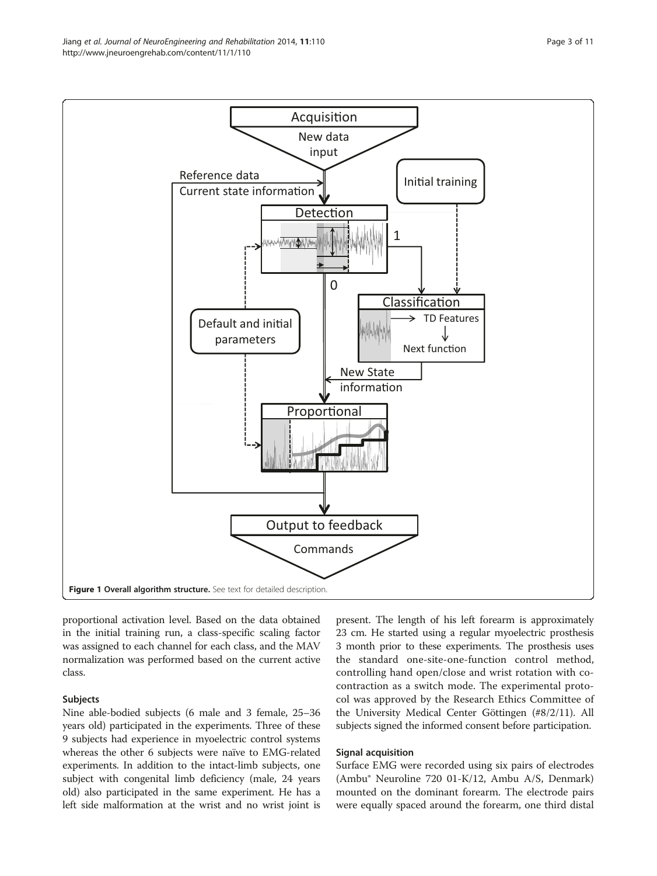<span id="page-2-0"></span>

proportional activation level. Based on the data obtained in the initial training run, a class-specific scaling factor was assigned to each channel for each class, and the MAV normalization was performed based on the current active class.

#### Subjects

Nine able-bodied subjects (6 male and 3 female, 25–36 years old) participated in the experiments. Three of these 9 subjects had experience in myoelectric control systems whereas the other 6 subjects were naïve to EMG-related experiments. In addition to the intact-limb subjects, one subject with congenital limb deficiency (male, 24 years old) also participated in the same experiment. He has a left side malformation at the wrist and no wrist joint is

present. The length of his left forearm is approximately 23 cm. He started using a regular myoelectric prosthesis 3 month prior to these experiments. The prosthesis uses the standard one-site-one-function control method, controlling hand open/close and wrist rotation with cocontraction as a switch mode. The experimental protocol was approved by the Research Ethics Committee of the University Medical Center Göttingen (#8/2/11). All subjects signed the informed consent before participation.

#### Signal acquisition

Surface EMG were recorded using six pairs of electrodes (Ambu® Neuroline 720 01-K/12, Ambu A/S, Denmark) mounted on the dominant forearm. The electrode pairs were equally spaced around the forearm, one third distal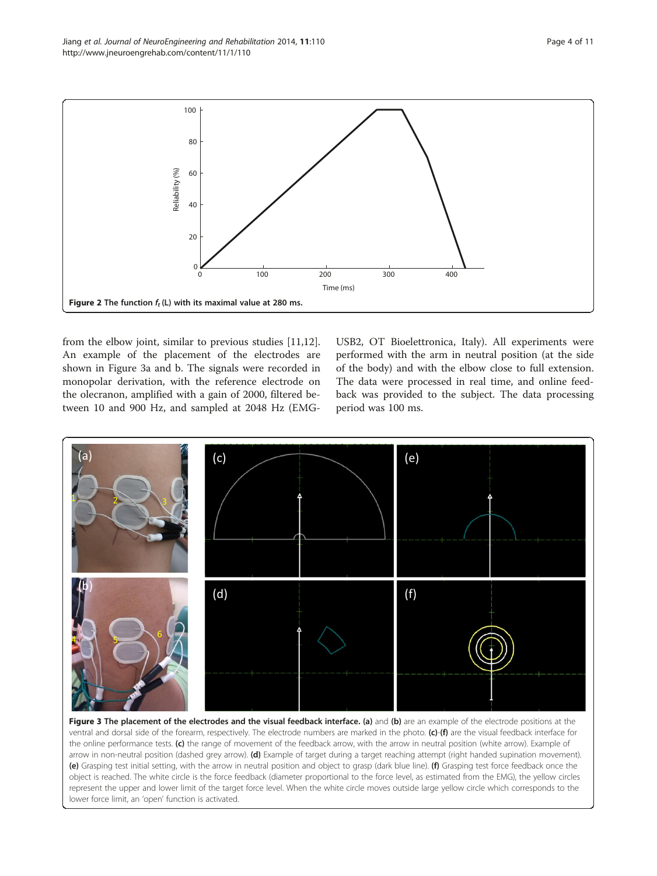from the elbow joint, similar to previous studies [\[11,12](#page-10-0)]. An example of the placement of the electrodes are shown in Figure 3a and b. The signals were recorded in monopolar derivation, with the reference electrode on the olecranon, amplified with a gain of 2000, filtered between 10 and 900 Hz, and sampled at 2048 Hz (EMG- USB2, OT Bioelettronica, Italy). All experiments were performed with the arm in neutral position (at the side of the body) and with the elbow close to full extension. The data were processed in real time, and online feedback was provided to the subject. The data processing period was 100 ms.



<span id="page-3-0"></span>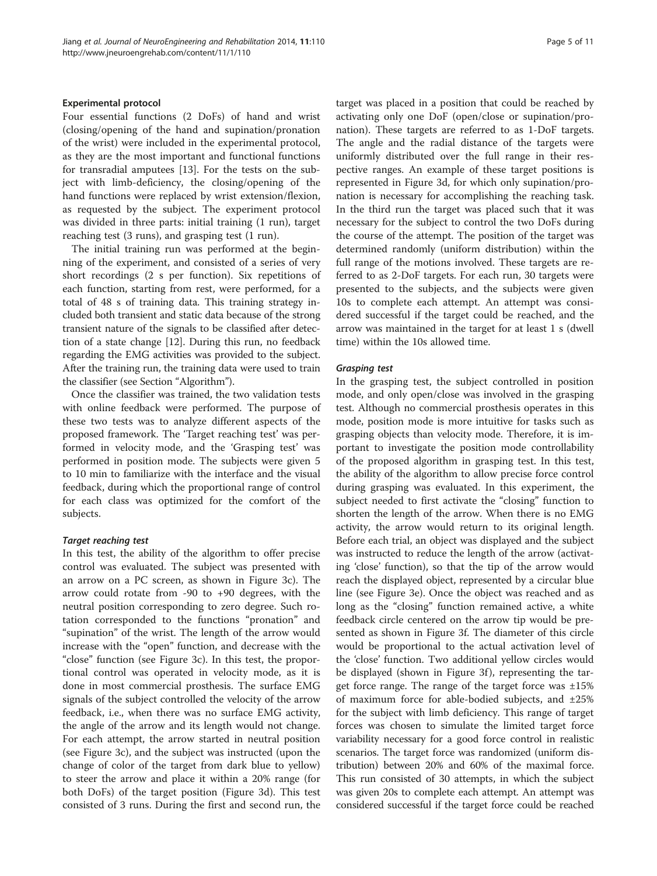## <span id="page-4-0"></span>Experimental protocol

Four essential functions (2 DoFs) of hand and wrist (closing/opening of the hand and supination/pronation of the wrist) were included in the experimental protocol, as they are the most important and functional functions for transradial amputees [\[13](#page-10-0)]. For the tests on the subject with limb-deficiency, the closing/opening of the hand functions were replaced by wrist extension/flexion, as requested by the subject. The experiment protocol was divided in three parts: initial training (1 run), target reaching test (3 runs), and grasping test (1 run).

The initial training run was performed at the beginning of the experiment, and consisted of a series of very short recordings (2 s per function). Six repetitions of each function, starting from rest, were performed, for a total of 48 s of training data. This training strategy included both transient and static data because of the strong transient nature of the signals to be classified after detection of a state change [\[12\]](#page-10-0). During this run, no feedback regarding the EMG activities was provided to the subject. After the training run, the training data were used to train the classifier (see Section "[Algorithm](#page-1-0)").

Once the classifier was trained, the two validation tests with online feedback were performed. The purpose of these two tests was to analyze different aspects of the proposed framework. The 'Target reaching test' was performed in velocity mode, and the 'Grasping test' was performed in position mode. The subjects were given 5 to 10 min to familiarize with the interface and the visual feedback, during which the proportional range of control for each class was optimized for the comfort of the subjects.

In this test, the ability of the algorithm to offer precise control was evaluated. The subject was presented with an arrow on a PC screen, as shown in Figure [3c](#page-3-0)). The arrow could rotate from -90 to +90 degrees, with the neutral position corresponding to zero degree. Such rotation corresponded to the functions "pronation" and "supination" of the wrist. The length of the arrow would increase with the "open" function, and decrease with the "close" function (see Figure [3c](#page-3-0)). In this test, the proportional control was operated in velocity mode, as it is done in most commercial prosthesis. The surface EMG signals of the subject controlled the velocity of the arrow feedback, i.e., when there was no surface EMG activity, the angle of the arrow and its length would not change. For each attempt, the arrow started in neutral position (see Figure [3](#page-3-0)c), and the subject was instructed (upon the change of color of the target from dark blue to yellow) to steer the arrow and place it within a 20% range (for both DoFs) of the target position (Figure [3](#page-3-0)d). This test consisted of 3 runs. During the first and second run, the

target was placed in a position that could be reached by activating only one DoF (open/close or supination/pronation). These targets are referred to as 1-DoF targets. The angle and the radial distance of the targets were uniformly distributed over the full range in their respective ranges. An example of these target positions is represented in Figure [3d](#page-3-0), for which only supination/pronation is necessary for accomplishing the reaching task. In the third run the target was placed such that it was necessary for the subject to control the two DoFs during the course of the attempt. The position of the target was determined randomly (uniform distribution) within the full range of the motions involved. These targets are referred to as 2-DoF targets. For each run, 30 targets were presented to the subjects, and the subjects were given 10s to complete each attempt. An attempt was considered successful if the target could be reached, and the arrow was maintained in the target for at least 1 s (dwell time) within the 10s allowed time.

In the grasping test, the subject controlled in position mode, and only open/close was involved in the grasping test. Although no commercial prosthesis operates in this mode, position mode is more intuitive for tasks such as grasping objects than velocity mode. Therefore, it is important to investigate the position mode controllability of the proposed algorithm in grasping test. In this test, the ability of the algorithm to allow precise force control during grasping was evaluated. In this experiment, the subject needed to first activate the "closing" function to shorten the length of the arrow. When there is no EMG activity, the arrow would return to its original length. Before each trial, an object was displayed and the subject was instructed to reduce the length of the arrow (activating 'close' function), so that the tip of the arrow would reach the displayed object, represented by a circular blue line (see Figure [3e](#page-3-0)). Once the object was reached and as long as the "closing" function remained active, a white feedback circle centered on the arrow tip would be presented as shown in Figure [3f](#page-3-0). The diameter of this circle would be proportional to the actual activation level of the 'close' function. Two additional yellow circles would be displayed (shown in Figure [3](#page-3-0)f), representing the target force range. The range of the target force was ±15% of maximum force for able-bodied subjects, and  $\pm 25\%$ for the subject with limb deficiency. This range of target forces was chosen to simulate the limited target force variability necessary for a good force control in realistic scenarios. The target force was randomized (uniform distribution) between 20% and 60% of the maximal force. This run consisted of 30 attempts, in which the subject was given 20s to complete each attempt. An attempt was considered successful if the target force could be reached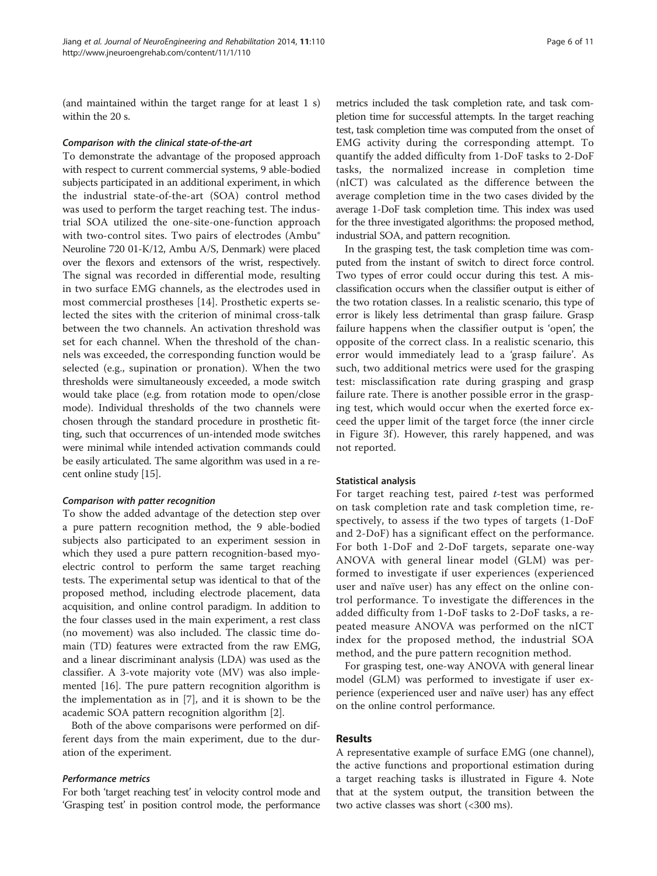<span id="page-5-0"></span>(and maintained within the target range for at least 1 s) within the 20 s.

To demonstrate the advantage of the proposed approach with respect to current commercial systems, 9 able-bodied subjects participated in an additional experiment, in which the industrial state-of-the-art (SOA) control method was used to perform the target reaching test. The industrial SOA utilized the one-site-one-function approach with two-control sites. Two pairs of electrodes (Ambu® Neuroline 720 01-K/12, Ambu A/S, Denmark) were placed over the flexors and extensors of the wrist, respectively. The signal was recorded in differential mode, resulting in two surface EMG channels, as the electrodes used in most commercial prostheses [[14\]](#page-10-0). Prosthetic experts selected the sites with the criterion of minimal cross-talk between the two channels. An activation threshold was set for each channel. When the threshold of the channels was exceeded, the corresponding function would be selected (e.g., supination or pronation). When the two thresholds were simultaneously exceeded, a mode switch would take place (e.g. from rotation mode to open/close mode). Individual thresholds of the two channels were chosen through the standard procedure in prosthetic fitting, such that occurrences of un-intended mode switches were minimal while intended activation commands could be easily articulated. The same algorithm was used in a recent online study [\[15\]](#page-10-0).

To show the added advantage of the detection step over a pure pattern recognition method, the 9 able-bodied subjects also participated to an experiment session in which they used a pure pattern recognition-based myoelectric control to perform the same target reaching tests. The experimental setup was identical to that of the proposed method, including electrode placement, data acquisition, and online control paradigm. In addition to the four classes used in the main experiment, a rest class (no movement) was also included. The classic time domain (TD) features were extracted from the raw EMG, and a linear discriminant analysis (LDA) was used as the classifier. A 3-vote majority vote (MV) was also implemented [[16](#page-10-0)]. The pure pattern recognition algorithm is the implementation as in [\[7](#page-10-0)], and it is shown to be the academic SOA pattern recognition algorithm [[2\]](#page-10-0).

Both of the above comparisons were performed on different days from the main experiment, due to the duration of the experiment.

For both 'target reaching test' in velocity control mode and 'Grasping test' in position control mode, the performance

metrics included the task completion rate, and task completion time for successful attempts. In the target reaching test, task completion time was computed from the onset of EMG activity during the corresponding attempt. To quantify the added difficulty from 1-DoF tasks to 2-DoF tasks, the normalized increase in completion time (nICT) was calculated as the difference between the average completion time in the two cases divided by the average 1-DoF task completion time. This index was used for the three investigated algorithms: the proposed method, industrial SOA, and pattern recognition.

In the grasping test, the task completion time was computed from the instant of switch to direct force control. Two types of error could occur during this test. A misclassification occurs when the classifier output is either of the two rotation classes. In a realistic scenario, this type of error is likely less detrimental than grasp failure. Grasp failure happens when the classifier output is 'open', the opposite of the correct class. In a realistic scenario, this error would immediately lead to a 'grasp failure'. As such, two additional metrics were used for the grasping test: misclassification rate during grasping and grasp failure rate. There is another possible error in the grasping test, which would occur when the exerted force exceed the upper limit of the target force (the inner circle in Figure [3f](#page-3-0)). However, this rarely happened, and was not reported.

#### Statistical analysis

For target reaching test, paired t-test was performed on task completion rate and task completion time, respectively, to assess if the two types of targets (1-DoF and 2-DoF) has a significant effect on the performance. For both 1-DoF and 2-DoF targets, separate one-way ANOVA with general linear model (GLM) was performed to investigate if user experiences (experienced user and naïve user) has any effect on the online control performance. To investigate the differences in the added difficulty from 1-DoF tasks to 2-DoF tasks, a repeated measure ANOVA was performed on the nICT index for the proposed method, the industrial SOA method, and the pure pattern recognition method.

For grasping test, one-way ANOVA with general linear model (GLM) was performed to investigate if user experience (experienced user and naïve user) has any effect on the online control performance.

### Results

A representative example of surface EMG (one channel), the active functions and proportional estimation during a target reaching tasks is illustrated in Figure [4.](#page-6-0) Note that at the system output, the transition between the two active classes was short (<300 ms).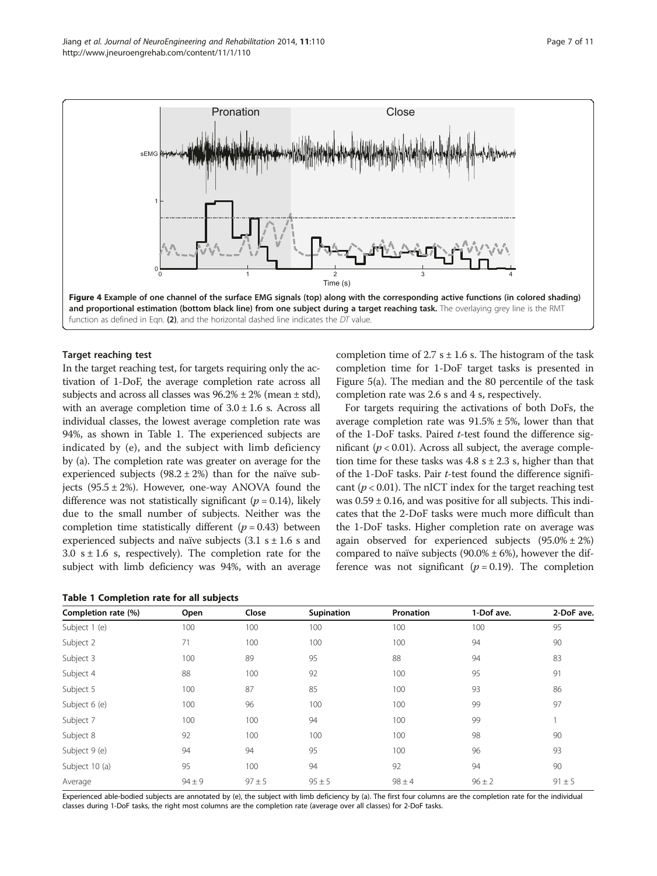<span id="page-6-0"></span>

## Target reaching test

In the target reaching test, for targets requiring only the activation of 1-DoF, the average completion rate across all subjects and across all classes was  $96.2% \pm 2%$  (mean  $\pm$  std), with an average completion time of  $3.0 \pm 1.6$  s. Across all individual classes, the lowest average completion rate was 94%, as shown in Table 1. The experienced subjects are indicated by (e), and the subject with limb deficiency by (a). The completion rate was greater on average for the experienced subjects  $(98.2 \pm 2\%)$  than for the naïve subjects  $(95.5 \pm 2\%)$ . However, one-way ANOVA found the difference was not statistically significant ( $p = 0.14$ ), likely due to the small number of subjects. Neither was the completion time statistically different  $(p = 0.43)$  between experienced subjects and naïve subjects  $(3.1 \text{ s} \pm 1.6 \text{ s} \text{ and }$ 3.0  $s \pm 1.6$  s, respectively). The completion rate for the subject with limb deficiency was 94%, with an average

|  | Table 1 Completion rate for all subjects |  |  |  |
|--|------------------------------------------|--|--|--|
|--|------------------------------------------|--|--|--|

completion time of 2.7 s  $\pm$  1.6 s. The histogram of the task completion time for 1-DoF target tasks is presented in Figure [5](#page-7-0)(a). The median and the 80 percentile of the task completion rate was 2.6 s and 4 s, respectively.

For targets requiring the activations of both DoFs, the average completion rate was  $91.5% \pm 5%$ , lower than that of the 1-DoF tasks. Paired t-test found the difference significant ( $p < 0.01$ ). Across all subject, the average completion time for these tasks was  $4.8 \text{ s} \pm 2.3 \text{ s}$ , higher than that of the 1-DoF tasks. Pair t-test found the difference significant ( $p < 0.01$ ). The nICT index for the target reaching test was  $0.59 \pm 0.16$ , and was positive for all subjects. This indicates that the 2-DoF tasks were much more difficult than the 1-DoF tasks. Higher completion rate on average was again observed for experienced subjects  $(95.0\% \pm 2\%)$ compared to naïve subjects (90.0%  $\pm$  6%), however the difference was not significant ( $p = 0.19$ ). The completion

| Completion rate (%) | Open       | Close      | Supination | <b>Pronation</b> | 1-Dof ave. | 2-DoF ave. |
|---------------------|------------|------------|------------|------------------|------------|------------|
| Subject 1 (e)       | 100        | 100        | 100        | 100              | 100        | 95         |
| Subject 2           | 71         | 100        | 100        | 100              | 94         | 90         |
| Subject 3           | 100        | 89         | 95         | 88               | 94         | 83         |
| Subject 4           | 88         | 100        | 92         | 100              | 95         | 91         |
| Subject 5           | 100        | 87         | 85         | 100              | 93         | 86         |
| Subject 6 (e)       | 100        | 96         | 100        | 100              | 99         | 97         |
| Subject 7           | 100        | 100        | 94         | 100              | 99         |            |
| Subject 8           | 92         | 100        | 100        | 100              | 98         | 90         |
| Subject 9 (e)       | 94         | 94         | 95         | 100              | 96         | 93         |
| Subject 10 (a)      | 95         | 100        | 94         | 92               | 94         | 90         |
| Average             | $94 \pm 9$ | $97 \pm 5$ | $95 \pm 5$ | $98 \pm 4$       | $96 \pm 2$ | $91 \pm 5$ |

Experienced able-bodied subjects are annotated by (e), the subject with limb deficiency by (a). The first four columns are the completion rate for the individual classes during 1-DoF tasks, the right most columns are the completion rate (average over all classes) for 2-DoF tasks.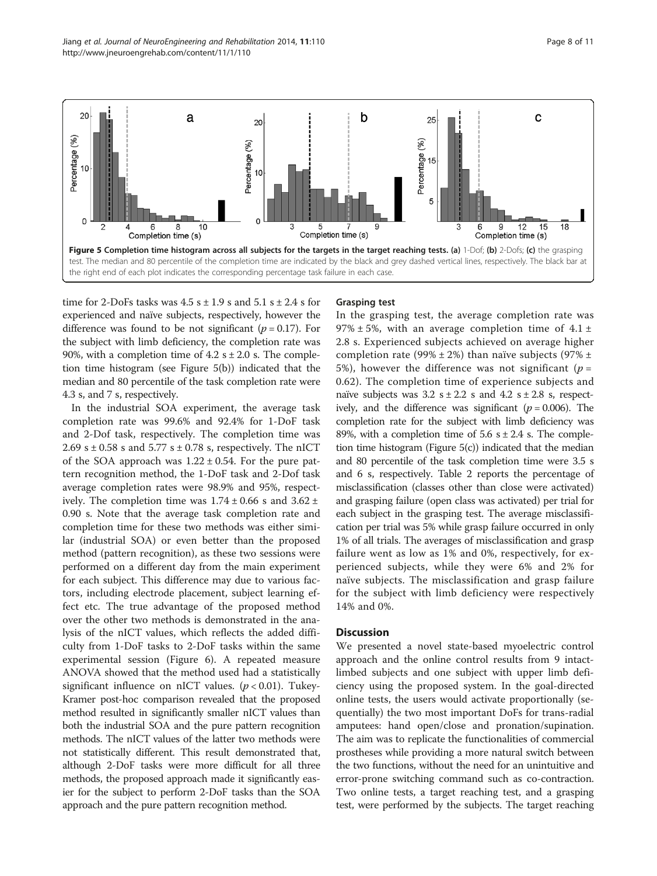<span id="page-7-0"></span>Jiang et al. Journal of NeuroEngineering and Rehabilitation 2014, 11:110 http://www.jneuroengrehab.com/content/11/1/110



time for 2-DoFs tasks was  $4.5$  s  $\pm$  1.9 s and  $5.1$  s  $\pm$  2.4 s for experienced and naïve subjects, respectively, however the difference was found to be not significant ( $p = 0.17$ ). For the subject with limb deficiency, the completion rate was 90%, with a completion time of 4.2  $s \pm 2.0$  s. The completion time histogram (see Figure 5(b)) indicated that the median and 80 percentile of the task completion rate were 4.3 s, and 7 s, respectively.

In the industrial SOA experiment, the average task completion rate was 99.6% and 92.4% for 1-DoF task and 2-Dof task, respectively. The completion time was 2.69 s  $\pm$  0.58 s and 5.77 s  $\pm$  0.78 s, respectively. The nICT of the SOA approach was  $1.22 \pm 0.54$ . For the pure pattern recognition method, the 1-DoF task and 2-Dof task average completion rates were 98.9% and 95%, respectively. The completion time was  $1.74 \pm 0.66$  s and  $3.62 \pm$ 0.90 s. Note that the average task completion rate and completion time for these two methods was either similar (industrial SOA) or even better than the proposed method (pattern recognition), as these two sessions were performed on a different day from the main experiment for each subject. This difference may due to various factors, including electrode placement, subject learning effect etc. The true advantage of the proposed method over the other two methods is demonstrated in the analysis of the nICT values, which reflects the added difficulty from 1-DoF tasks to 2-DoF tasks within the same experimental session (Figure [6\)](#page-8-0). A repeated measure ANOVA showed that the method used had a statistically significant influence on nICT values.  $(p < 0.01)$ . Tukey-Kramer post-hoc comparison revealed that the proposed method resulted in significantly smaller nICT values than both the industrial SOA and the pure pattern recognition methods. The nICT values of the latter two methods were not statistically different. This result demonstrated that, although 2-DoF tasks were more difficult for all three methods, the proposed approach made it significantly easier for the subject to perform 2-DoF tasks than the SOA approach and the pure pattern recognition method.

#### Grasping test

In the grasping test, the average completion rate was 97%  $\pm$  5%, with an average completion time of 4.1  $\pm$ 2.8 s. Experienced subjects achieved on average higher completion rate (99%  $\pm$  2%) than naïve subjects (97%  $\pm$ 5%), however the difference was not significant ( $p =$ 0.62). The completion time of experience subjects and naïve subjects was  $3.2 s \pm 2.2 s$  and  $4.2 s \pm 2.8 s$ , respectively, and the difference was significant ( $p = 0.006$ ). The completion rate for the subject with limb deficiency was 89%, with a completion time of 5.6  $s \pm 2.4$  s. The completion time histogram (Figure 5(c)) indicated that the median and 80 percentile of the task completion time were 3.5 s and 6 s, respectively. Table [2](#page-8-0) reports the percentage of misclassification (classes other than close were activated) and grasping failure (open class was activated) per trial for each subject in the grasping test. The average misclassification per trial was 5% while grasp failure occurred in only 1% of all trials. The averages of misclassification and grasp failure went as low as 1% and 0%, respectively, for experienced subjects, while they were 6% and 2% for naïve subjects. The misclassification and grasp failure for the subject with limb deficiency were respectively 14% and 0%.

#### **Discussion**

We presented a novel state-based myoelectric control approach and the online control results from 9 intactlimbed subjects and one subject with upper limb deficiency using the proposed system. In the goal-directed online tests, the users would activate proportionally (sequentially) the two most important DoFs for trans-radial amputees: hand open/close and pronation/supination. The aim was to replicate the functionalities of commercial prostheses while providing a more natural switch between the two functions, without the need for an unintuitive and error-prone switching command such as co-contraction. Two online tests, a target reaching test, and a grasping test, were performed by the subjects. The target reaching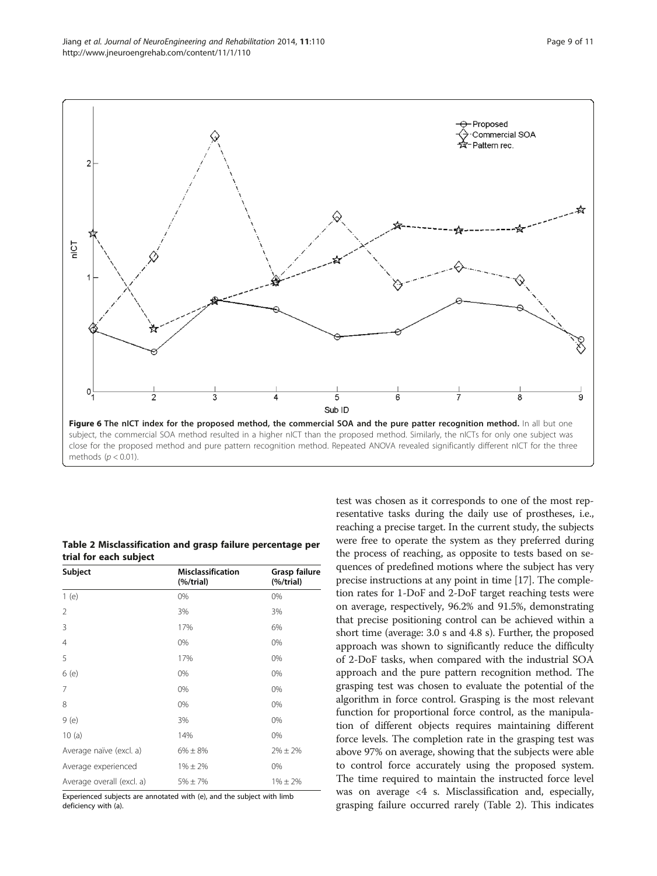<span id="page-8-0"></span>

Table 2 Misclassification and grasp failure percentage per trial for each subject

| Subject                   | <b>Misclassification</b><br>(% | Grasp failure<br>$(%$ (%/trial) |  |
|---------------------------|--------------------------------|---------------------------------|--|
| 1(e)                      | 0%                             | 0%                              |  |
| 2                         | 3%                             | 3%                              |  |
| 3                         | 17%                            | 6%                              |  |
| $\overline{4}$            | 0%                             | 0%                              |  |
| 5                         | 17%                            | 0%                              |  |
| 6 (e)                     | 0%                             | 0%                              |  |
| 7                         | 0%                             | 0%                              |  |
| 8                         | 0%                             | 0%                              |  |
| 9 (e)                     | 3%                             | 0%                              |  |
| 10(a)                     | 14%                            | 0%                              |  |
| Average naïve (excl. a)   | $6\% \pm 8\%$                  | $2\% \pm 2\%$                   |  |
| Average experienced       | $1\% \pm 2\%$                  | 0%                              |  |
| Average overall (excl. a) | $5\% \pm 7\%$                  | $1\% \pm 2\%$                   |  |

Experienced subjects are annotated with (e), and the subject with limb deficiency with (a).

test was chosen as it corresponds to one of the most representative tasks during the daily use of prostheses, i.e., reaching a precise target. In the current study, the subjects were free to operate the system as they preferred during the process of reaching, as opposite to tests based on sequences of predefined motions where the subject has very precise instructions at any point in time [[17](#page-10-0)]. The completion rates for 1-DoF and 2-DoF target reaching tests were on average, respectively, 96.2% and 91.5%, demonstrating that precise positioning control can be achieved within a short time (average: 3.0 s and 4.8 s). Further, the proposed approach was shown to significantly reduce the difficulty of 2-DoF tasks, when compared with the industrial SOA approach and the pure pattern recognition method. The grasping test was chosen to evaluate the potential of the algorithm in force control. Grasping is the most relevant function for proportional force control, as the manipulation of different objects requires maintaining different force levels. The completion rate in the grasping test was above 97% on average, showing that the subjects were able to control force accurately using the proposed system. The time required to maintain the instructed force level was on average <4 s. Misclassification and, especially, grasping failure occurred rarely (Table 2). This indicates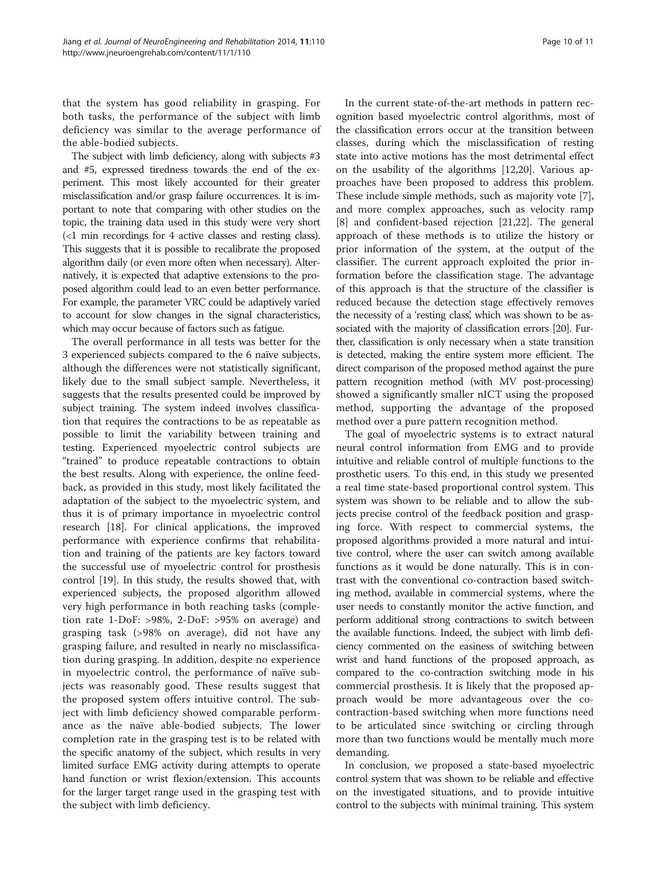that the system has good reliability in grasping. For both tasks, the performance of the subject with limb deficiency was similar to the average performance of the able-bodied subjects.

The subject with limb deficiency, along with subjects #3 and #5, expressed tiredness towards the end of the experiment. This most likely accounted for their greater misclassification and/or grasp failure occurrences. It is important to note that comparing with other studies on the topic, the training data used in this study were very short (<1 min recordings for 4 active classes and resting class). This suggests that it is possible to recalibrate the proposed algorithm daily (or even more often when necessary). Alternatively, it is expected that adaptive extensions to the proposed algorithm could lead to an even better performance. For example, the parameter VRC could be adaptively varied to account for slow changes in the signal characteristics, which may occur because of factors such as fatigue.

The overall performance in all tests was better for the 3 experienced subjects compared to the 6 naïve subjects, although the differences were not statistically significant, likely due to the small subject sample. Nevertheless, it suggests that the results presented could be improved by subject training. The system indeed involves classification that requires the contractions to be as repeatable as possible to limit the variability between training and testing. Experienced myoelectric control subjects are "trained" to produce repeatable contractions to obtain the best results. Along with experience, the online feedback, as provided in this study, most likely facilitated the adaptation of the subject to the myoelectric system, and thus it is of primary importance in myoelectric control research [[18\]](#page-10-0). For clinical applications, the improved performance with experience confirms that rehabilitation and training of the patients are key factors toward the successful use of myoelectric control for prosthesis control [[19\]](#page-10-0). In this study, the results showed that, with experienced subjects, the proposed algorithm allowed very high performance in both reaching tasks (completion rate 1-DoF: >98%, 2-DoF: >95% on average) and grasping task (>98% on average), did not have any grasping failure, and resulted in nearly no misclassification during grasping. In addition, despite no experience in myoelectric control, the performance of naïve subjects was reasonably good. These results suggest that the proposed system offers intuitive control. The subject with limb deficiency showed comparable performance as the naïve able-bodied subjects. The lower completion rate in the grasping test is to be related with the specific anatomy of the subject, which results in very limited surface EMG activity during attempts to operate hand function or wrist flexion/extension. This accounts for the larger target range used in the grasping test with the subject with limb deficiency.

In the current state-of-the-art methods in pattern recognition based myoelectric control algorithms, most of the classification errors occur at the transition between classes, during which the misclassification of resting state into active motions has the most detrimental effect on the usability of the algorithms [[12,20\]](#page-10-0). Various approaches have been proposed to address this problem. These include simple methods, such as majority vote [\[7](#page-10-0)], and more complex approaches, such as velocity ramp [[8\]](#page-10-0) and confident-based rejection [\[21,22](#page-10-0)]. The general approach of these methods is to utilize the history or prior information of the system, at the output of the classifier. The current approach exploited the prior information before the classification stage. The advantage of this approach is that the structure of the classifier is reduced because the detection stage effectively removes the necessity of a 'resting class', which was shown to be associated with the majority of classification errors [\[20](#page-10-0)]. Further, classification is only necessary when a state transition is detected, making the entire system more efficient. The direct comparison of the proposed method against the pure pattern recognition method (with MV post-processing) showed a significantly smaller nICT using the proposed method, supporting the advantage of the proposed method over a pure pattern recognition method.

The goal of myoelectric systems is to extract natural neural control information from EMG and to provide intuitive and reliable control of multiple functions to the prosthetic users. To this end, in this study we presented a real time state-based proportional control system. This system was shown to be reliable and to allow the subjects precise control of the feedback position and grasping force. With respect to commercial systems, the proposed algorithms provided a more natural and intuitive control, where the user can switch among available functions as it would be done naturally. This is in contrast with the conventional co-contraction based switching method, available in commercial systems, where the user needs to constantly monitor the active function, and perform additional strong contractions to switch between the available functions. Indeed, the subject with limb deficiency commented on the easiness of switching between wrist and hand functions of the proposed approach, as compared to the co-contraction switching mode in his commercial prosthesis. It is likely that the proposed approach would be more advantageous over the cocontraction-based switching when more functions need to be articulated since switching or circling through more than two functions would be mentally much more demanding.

In conclusion, we proposed a state-based myoelectric control system that was shown to be reliable and effective on the investigated situations, and to provide intuitive control to the subjects with minimal training. This system